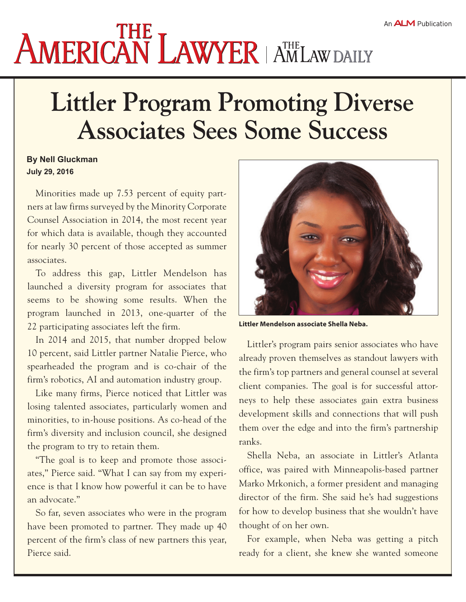## **AMERICAN LAWYER | AMLAW DAILY**

## **Littler Program Promoting Diverse Associates Sees Some Success**

## **By Nell Gluckman July 29, 2016**

Minorities made up 7.53 percent of equity partners at law firms surveyed by the Minority Corporate Counsel Association in 2014, the most recent year for which data is available, though they accounted for nearly 30 percent of those accepted as summer associates.

To address this gap, Littler Mendelson has launched a diversity program for associates that seems to be showing some results. When the program launched in 2013, one-quarter of the 22 participating associates left the firm.

In 2014 and 2015, that number dropped below 10 percent, said Littler partner Natalie Pierce, who spearheaded the program and is co-chair of the firm's robotics, AI and automation industry group.

Like many firms, Pierce noticed that Littler was losing talented associates, particularly women and minorities, to in-house positions. As co-head of the firm's diversity and inclusion council, she designed the program to try to retain them.

"The goal is to keep and promote those associates," Pierce said. "What I can say from my experience is that I know how powerful it can be to have an advocate."

So far, seven associates who were in the program have been promoted to partner. They made up 40 percent of the firm's class of new partners this year, Pierce said.



**Littler Mendelson associate Shella Neba.**

Littler's program pairs senior associates who have already proven themselves as standout lawyers with the firm's top partners and general counsel at several client companies. The goal is for successful attorneys to help these associates gain extra business development skills and connections that will push them over the edge and into the firm's partnership ranks.

Shella Neba, an associate in Littler's Atlanta office, was paired with Minneapolis-based partner Marko Mrkonich, a former president and managing director of the firm. She said he's had suggestions for how to develop business that she wouldn't have thought of on her own.

For example, when Neba was getting a pitch ready for a client, she knew she wanted someone